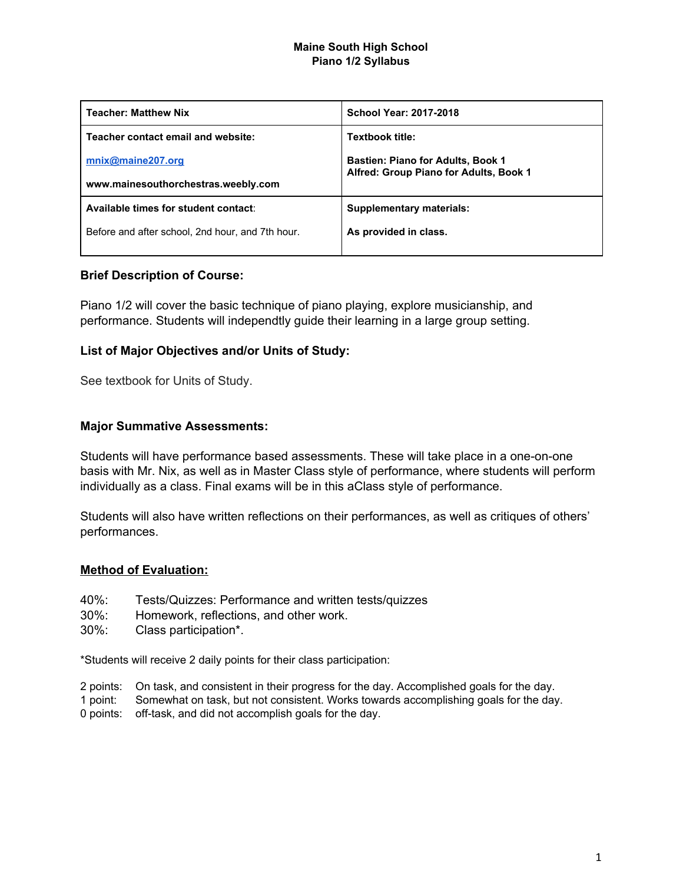## **Maine South High School Piano 1/2 Syllabus**

| <b>Teacher: Matthew Nix</b>                      | <b>School Year: 2017-2018</b>                                                      |  |
|--------------------------------------------------|------------------------------------------------------------------------------------|--|
| Teacher contact email and website:               | Textbook title:                                                                    |  |
| mnix@maine207.org                                | <b>Bastien: Piano for Adults, Book 1</b><br>Alfred: Group Piano for Adults, Book 1 |  |
| www.mainesouthorchestras.weebly.com              |                                                                                    |  |
| Available times for student contact:             | Supplementary materials:                                                           |  |
| Before and after school, 2nd hour, and 7th hour. | As provided in class.                                                              |  |
|                                                  |                                                                                    |  |

# **Brief Description of Course:**

Piano 1/2 will cover the basic technique of piano playing, explore musicianship, and performance. Students will independtly guide their learning in a large group setting.

## **List of Major Objectives and/or Units of Study:**

See textbook for Units of Study.

## **Major Summative Assessments:**

Students will have performance based assessments. These will take place in a one-on-one basis with Mr. Nix, as well as in Master Class style of performance, where students will perform individually as a class. Final exams will be in this aClass style of performance.

Students will also have written reflections on their performances, as well as critiques of others' performances.

## **Method of Evaluation:**

- 40%: Tests/Quizzes: Performance and written tests/quizzes
- 30%: Homework, reflections, and other work.
- 30%: Class participation\*.

\*Students will receive 2 daily points for their class participation:

- 2 points: On task, and consistent in their progress for the day. Accomplished goals for the day.
- 1 point: Somewhat on task, but not consistent. Works towards accomplishing goals for the day.
- 0 points: off-task, and did not accomplish goals for the day.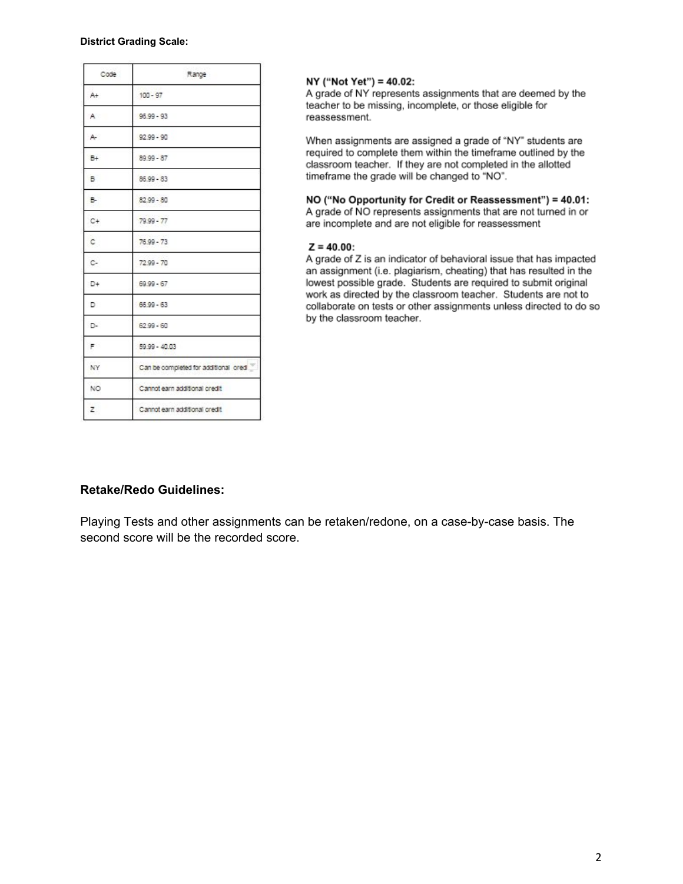#### **District Grading Scale:**

| Code | Range                                |
|------|--------------------------------------|
| A+   | $100 - 97$                           |
| A.   | $96.99 - 93$                         |
| A-   | $92.99 - 90$                         |
| B+   | $89.99 - 87$                         |
| в    | $86.99 - 83$                         |
| в.   | $82.99 - 80$                         |
| C+   | $79.99 - 77$                         |
| c    | $76.99 - 73$                         |
| c.   | $72.99 - 70$                         |
| D+   | $69.99 - 67$                         |
| D    | $66.99 - 63$                         |
| D-   | $62.99 - 60$                         |
| F.   | 59.99 - 40.03                        |
| NY   | Can be completed for additional cred |
| NO.  | Cannot earn additional credit        |
| z    | Cannot earn additional credit        |

### NY ("Not Yet") = 40.02:

A grade of NY represents assignments that are deemed by the teacher to be missing, incomplete, or those eligible for reassessment.

When assignments are assigned a grade of "NY" students are required to complete them within the timeframe outlined by the classroom teacher. If they are not completed in the allotted timeframe the grade will be changed to "NO".

## NO ("No Opportunity for Credit or Reassessment") = 40.01:

A grade of NO represents assignments that are not turned in or are incomplete and are not eligible for reassessment

### $Z = 40.00$ :

A grade of Z is an indicator of behavioral issue that has impacted an assignment (i.e. plagiarism, cheating) that has resulted in the lowest possible grade. Students are required to submit original work as directed by the classroom teacher. Students are not to collaborate on tests or other assignments unless directed to do so by the classroom teacher.

### **Retake/Redo Guidelines:**

Playing Tests and other assignments can be retaken/redone, on a case-by-case basis. The second score will be the recorded score.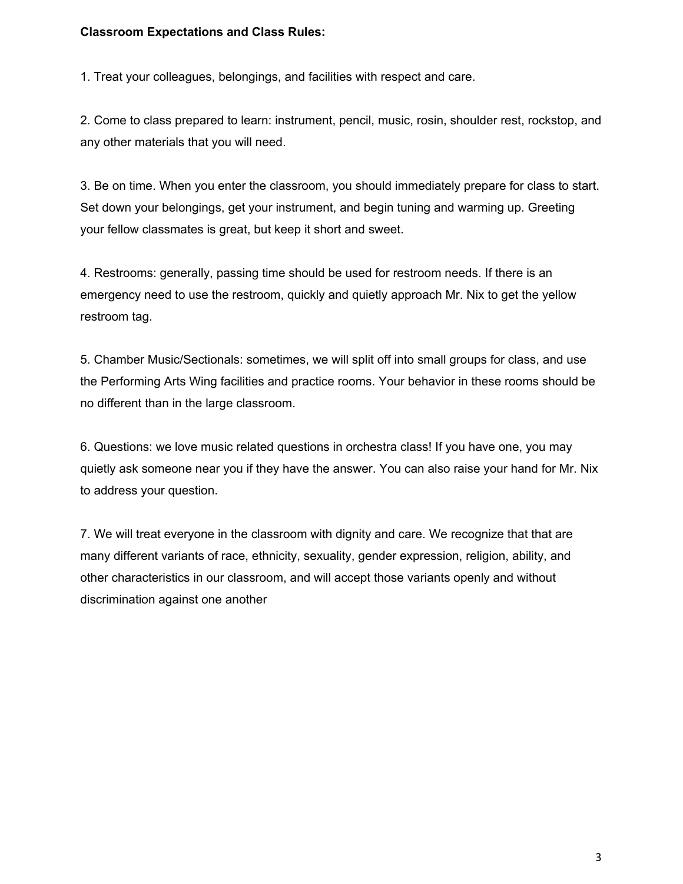## **Classroom Expectations and Class Rules:**

1. Treat your colleagues, belongings, and facilities with respect and care.

2. Come to class prepared to learn: instrument, pencil, music, rosin, shoulder rest, rockstop, and any other materials that you will need.

3. Be on time. When you enter the classroom, you should immediately prepare for class to start. Set down your belongings, get your instrument, and begin tuning and warming up. Greeting your fellow classmates is great, but keep it short and sweet.

4. Restrooms: generally, passing time should be used for restroom needs. If there is an emergency need to use the restroom, quickly and quietly approach Mr. Nix to get the yellow restroom tag.

5. Chamber Music/Sectionals: sometimes, we will split off into small groups for class, and use the Performing Arts Wing facilities and practice rooms. Your behavior in these rooms should be no different than in the large classroom.

6. Questions: we love music related questions in orchestra class! If you have one, you may quietly ask someone near you if they have the answer. You can also raise your hand for Mr. Nix to address your question.

7. We will treat everyone in the classroom with dignity and care. We recognize that that are many different variants of race, ethnicity, sexuality, gender expression, religion, ability, and other characteristics in our classroom, and will accept those variants openly and without discrimination against one another